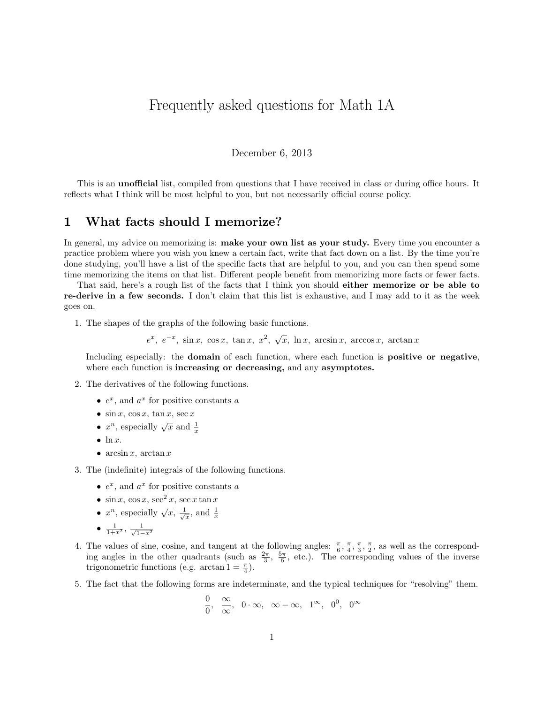# Frequently asked questions for Math 1A

#### December 6, 2013

This is an unofficial list, compiled from questions that I have received in class or during office hours. It reflects what I think will be most helpful to you, but not necessarily official course policy.

### 1 What facts should I memorize?

In general, my advice on memorizing is: make your own list as your study. Every time you encounter a practice problem where you wish you knew a certain fact, write that fact down on a list. By the time you're done studying, you'll have a list of the specific facts that are helpful to you, and you can then spend some time memorizing the items on that list. Different people benefit from memorizing more facts or fewer facts.

That said, here's a rough list of the facts that I think you should either memorize or be able to re-derive in a few seconds. I don't claim that this list is exhaustive, and I may add to it as the week goes on.

1. The shapes of the graphs of the following basic functions.

 $e^x$ ,  $e^{-x}$ , sin x, cos x, tan x,  $x^2$ ,  $\sqrt{x}$ , ln x, arcsin x, arccos x, arctan x

Including especially: the domain of each function, where each function is positive or negative, where each function is **increasing or decreasing**, and any **asymptotes**.

- 2. The derivatives of the following functions.
	- $e^x$ , and  $a^x$  for positive constants a
	- $\sin x$ ,  $\cos x$ ,  $\tan x$ ,  $\sec x$
	- $x^n$ , especially  $\sqrt{x}$  and  $\frac{1}{x}$
	- $\bullet$  ln x.
	- arcsin x, arctan x
- 3. The (indefinite) integrals of the following functions.
	- $e^x$ , and  $a^x$  for positive constants a
	- $\sin x$ ,  $\cos x$ ,  $\sec^2 x$ ,  $\sec x \tan x$
	- $x^n$ , especially  $\sqrt{x}$ ,  $\frac{1}{\sqrt{x}}$ , and  $\frac{1}{x}$
	- $\frac{1}{1+x^2}, \frac{1}{\sqrt{1-x^2}}$
- 4. The values of sine, cosine, and tangent at the following angles:  $\frac{\pi}{6}, \frac{\pi}{4}, \frac{\pi}{3}, \frac{\pi}{2}$ , as well as the corresponding angles in the other quadrants (such as  $\frac{2\pi}{3}$ ,  $\frac{5\pi}{6}$ , etc.). The corresponding values of the inverse trigonometric functions (e.g.  $\arctan 1 = \frac{\pi}{4}$ ).
- 5. The fact that the following forms are indeterminate, and the typical techniques for "resolving" them.

$$
\frac{0}{0}, \ \frac{\infty}{\infty}, \ 0 \cdot \infty, \ \infty - \infty, \ 1^{\infty}, \ 0^0, \ 0^{\infty}
$$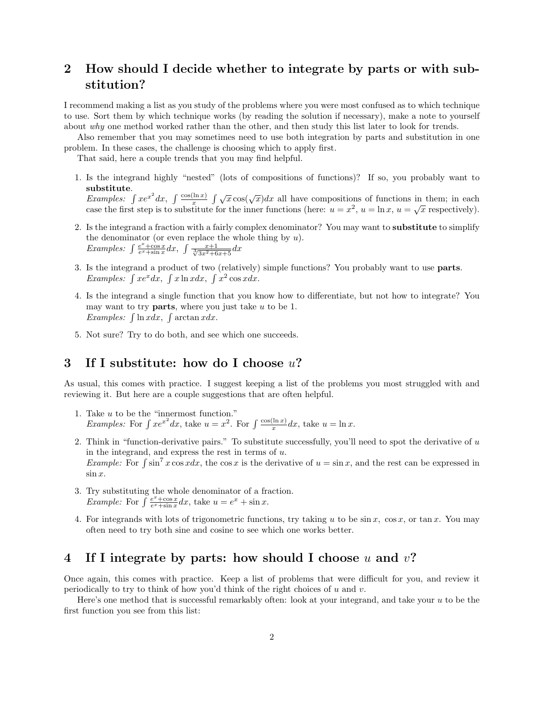### 2 How should I decide whether to integrate by parts or with substitution?

I recommend making a list as you study of the problems where you were most confused as to which technique to use. Sort them by which technique works (by reading the solution if necessary), make a note to yourself about why one method worked rather than the other, and then study this list later to look for trends.

Also remember that you may sometimes need to use both integration by parts and substitution in one problem. In these cases, the challenge is choosing which to apply first.

That said, here a couple trends that you may find helpful.

1. Is the integrand highly "nested" (lots of compositions of functions)? If so, you probably want to substitute.

**Examples:**  $\int xe^{x^2} dx$ ,  $\int \frac{\cos(\ln x)}{x} \int \sqrt{x} \cos(\sqrt{x}) dx$  all have compositions of functions in them; in each Examples. J  $xe^{-ax}$ ,  $\int \frac{x}{x}$   $\int \sqrt{x} \cos(\sqrt{x}) dx$  and have compositions of functions in them, in each case the first step is to substitute for the inner functions (here:  $u = x^2$ ,  $u = \ln x$ ,  $u = \sqrt{x}$  respectively).

- 2. Is the integrand a fraction with a fairly complex denominator? You may want to substitute to simplify the denominator (or even replace the whole thing by  $u$ ). Examples:  $\int \frac{e^x + \cos x}{e^x + \sin x} dx$ ,  $\int \frac{x+1}{\sqrt[3]{3x^2 + 6x + 5}} dx$
- 3. Is the integrand a product of two (relatively) simple functions? You probably want to use parts. Examples:  $\int xe^x dx$ ,  $\int x \ln x dx$ ,  $\int x^2 \cos x dx$ .
- 4. Is the integrand a single function that you know how to differentiate, but not how to integrate? You may want to try **parts**, where you just take  $u$  to be 1. *Examples:*  $\int \ln x dx$ ,  $\int \arctan x dx$ .
- 5. Not sure? Try to do both, and see which one succeeds.

## 3 If I substitute: how do I choose u?

As usual, this comes with practice. I suggest keeping a list of the problems you most struggled with and reviewing it. But here are a couple suggestions that are often helpful.

- 1. Take u to be the "innermost function." *Examples:* For  $\int xe^{x^2} dx$ , take  $u = x^2$ . For  $\int \frac{\cos(\ln x)}{x} dx$ , take  $u = \ln x$ .
- 2. Think in "function-derivative pairs." To substitute successfully, you'll need to spot the derivative of u in the integrand, and express the rest in terms of  $u$ . *Example:* For  $\int \sin^7 x \cos x dx$ , the cos x is the derivative of  $u = \sin x$ , and the rest can be expressed in  $\sin x$ .
- 3. Try substituting the whole denominator of a fraction. *Example:* For  $\int \frac{e^x + \cos x}{e^x + \sin x} dx$ , take  $u = e^x + \sin x$ .
- 4. For integrands with lots of trigonometric functions, try taking u to be  $\sin x$ ,  $\cos x$ , or  $\tan x$ . You may often need to try both sine and cosine to see which one works better.

#### 4 If I integrate by parts: how should I choose u and  $v$ ?

Once again, this comes with practice. Keep a list of problems that were difficult for you, and review it periodically to try to think of how you'd think of the right choices of u and v.

Here's one method that is successful remarkably often: look at your integrand, and take your  $u$  to be the first function you see from this list: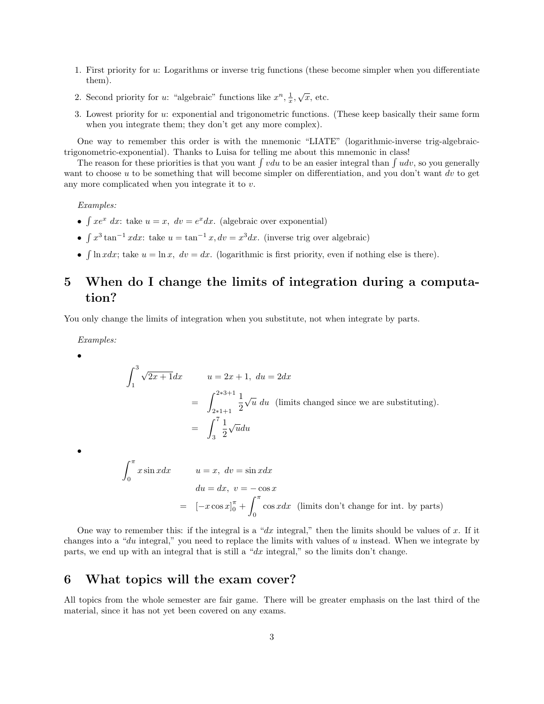- 1. First priority for u: Logarithms or inverse trig functions (these become simpler when you differentiate them).
- 2. Second priority for u: "algebraic" functions like  $x^n, \frac{1}{x}, \sqrt{x}$ , etc.
- 3. Lowest priority for u: exponential and trigonometric functions. (These keep basically their same form when you integrate them; they don't get any more complex).

One way to remember this order is with the mnemonic "LIATE" (logarithmic-inverse trig-algebraictrigonometric-exponential). Thanks to Luisa for telling me about this mnemonic in class!

The reason for these priorities is that you want  $\int v du$  to be an easier integral than  $\int u dv$ , so you generally want to choose u to be something that will become simpler on differentiation, and you don't want dv to get any more complicated when you integrate it to v.

Examples:

- $\int xe^x dx$ : take  $u = x$ ,  $dv = e^x dx$ . (algebraic over exponential)
- $\int x^3 \tan^{-1} x dx$ : take  $u = \tan^{-1} x$ ,  $dv = x^3 dx$ . (inverse trig over algebraic)
- $\int \ln x dx$ ; take  $u = \ln x$ ,  $dv = dx$ . (logarithmic is first priority, even if nothing else is there).

### 5 When do I change the limits of integration during a computation?

You only change the limits of integration when you substitute, not when integrate by parts.

Examples:

•

•

$$
\int_{1}^{3} \sqrt{2x+1} dx \qquad u = 2x+1, \ du = 2dx
$$
  
= 
$$
\int_{2+1+1}^{2+3+1} \frac{1}{2} \sqrt{u} \ du
$$
 (limits changed since we are substituting).  
= 
$$
\int_{3}^{7} \frac{1}{2} \sqrt{u} du
$$
  

$$
\int_{0}^{\pi} x \sin x dx \qquad u = x, \ dv = \sin x dx
$$

$$
du = dx, \ v = -\cos x
$$
  
=  $[-x \cos x]_0^{\pi} + \int_0^{\pi} \cos x dx$  (limits don't change for int. by parts)

One way to remember this: if the integral is a "dx integral," then the limits should be values of x. If it changes into a "du integral," you need to replace the limits with values of  $u$  instead. When we integrate by parts, we end up with an integral that is still a " $dx$  integral," so the limits don't change.

#### 6 What topics will the exam cover?

All topics from the whole semester are fair game. There will be greater emphasis on the last third of the material, since it has not yet been covered on any exams.